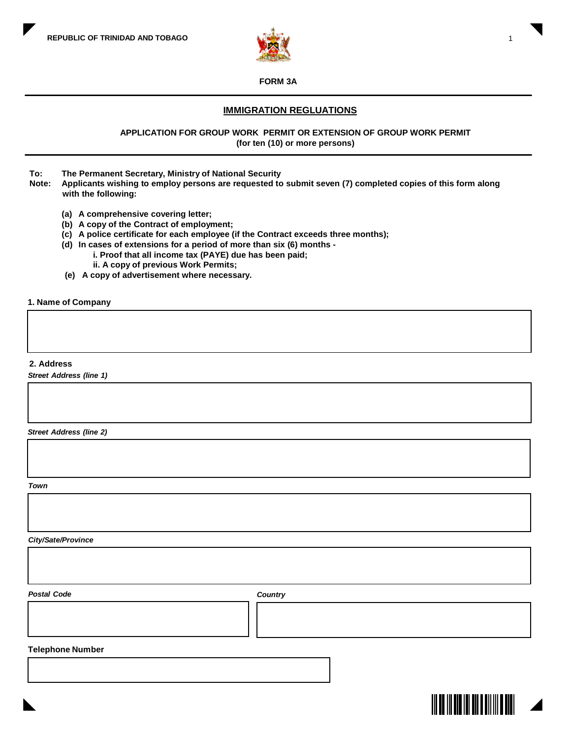

### **FORM 3A**

# **IMMIGRATION REGLUATIONS**

**APPLICATION FOR GROUP WORK PERMIT OR EXTENSION OF GROUP WORK PERMIT (for ten (10) or more persons)**

- **To: The Permanent Secretary, Ministry of National Security**
- **Note: Applicants wishing to employ persons are requested to submit seven (7) completed copies of this form along with the following:**
	- **(a) A comprehensive covering letter;**
	- **(b) A copy of the Contract of employment;**
	- **(c) A police certificate for each employee (if the Contract exceeds three months);**
	- **(d) In cases of extensions for a period of more than six (6) months i. Proof that all income tax (PAYE) due has been paid;**
		- **ii. A copy of previous Work Permits;**
	- **(e) A copy of advertisement where necessary.**

#### **1. Name of Company**

### **2. Address**

*Street Address (line 1)*

*Street Address (line 2)*

*Town*

*City/Sate/Province*

*Postal Code Country*

### **Telephone Number**



1